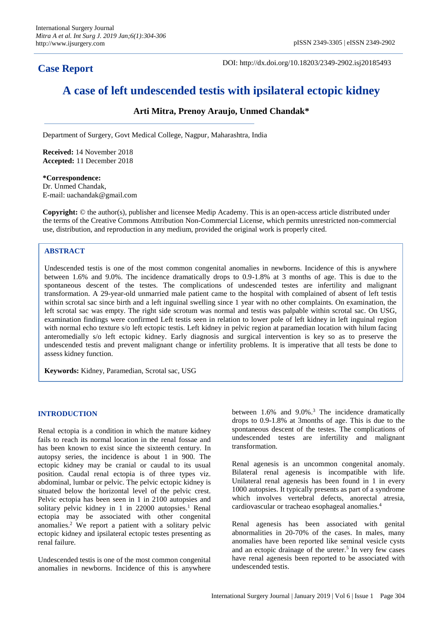**Case Report**

DOI: http://dx.doi.org/10.18203/2349-2902.isj20185493

# **A case of left undescended testis with ipsilateral ectopic kidney**

# **Arti Mitra, Prenoy Araujo, Unmed Chandak\***

Department of Surgery, Govt Medical College, Nagpur, Maharashtra, India

**Received:** 14 November 2018 **Accepted:** 11 December 2018

**\*Correspondence:** Dr. Unmed Chandak, E-mail: uachandak@gmail.com

**Copyright:** © the author(s), publisher and licensee Medip Academy. This is an open-access article distributed under the terms of the Creative Commons Attribution Non-Commercial License, which permits unrestricted non-commercial use, distribution, and reproduction in any medium, provided the original work is properly cited.

# **ABSTRACT**

Undescended testis is one of the most common congenital anomalies in newborns. Incidence of this is anywhere between 1.6% and 9.0%. The incidence dramatically drops to 0.9-1.8% at 3 months of age. This is due to the spontaneous descent of the testes. The complications of undescended testes are infertility and malignant transformation. A 29-year-old unmarried male patient came to the hospital with complained of absent of left testis within scrotal sac since birth and a left inguinal swelling since 1 year with no other complaints. On examination, the left scrotal sac was empty. The right side scrotum was normal and testis was palpable within scrotal sac. On USG, examination findings were confirmed Left testis seen in relation to lower pole of left kidney in left inguinal region with normal echo texture s/o left ectopic testis. Left kidney in pelvic region at paramedian location with hilum facing anteromedially s/o left ectopic kidney. Early diagnosis and surgical intervention is key so as to preserve the undescended testis and prevent malignant change or infertility problems. It is imperative that all tests be done to assess kidney function.

**Keywords:** Kidney, Paramedian, Scrotal sac, USG

#### **INTRODUCTION**

Renal ectopia is a condition in which the mature kidney fails to reach its normal location in the renal fossae and has been known to exist since the sixteenth century. In autopsy series, the incidence is about 1 in 900. The ectopic kidney may be cranial or caudal to its usual position. Caudal renal ectopia is of three types viz. abdominal, lumbar or pelvic. The pelvic ectopic kidney is situated below the horizontal level of the pelvic crest. Pelvic ectopia has been seen in 1 in 2100 autopsies and solitary pelvic kidney in 1 in 22000 autopsies.<sup>1</sup> Renal ectopia may be associated with other congenital anomalies. <sup>2</sup> We report a patient with a solitary pelvic ectopic kidney and ipsilateral ectopic testes presenting as renal failure.

Undescended testis is one of the most common congenital anomalies in newborns. Incidence of this is anywhere between 1.6% and 9.0%.<sup>3</sup> The incidence dramatically drops to 0.9-1.8% at 3months of age. This is due to the spontaneous descent of the testes. The complications of undescended testes are infertility and malignant transformation.

Renal agenesis is an uncommon congenital anomaly. Bilateral renal agenesis is incompatible with life. Unilateral renal agenesis has been found in 1 in every 1000 autopsies. It typically presents as part of a syndrome which involves vertebral defects, anorectal atresia, cardiovascular or tracheao esophageal anomalies.<sup>4</sup>

Renal agenesis has been associated with genital abnormalities in 20-70% of the cases. In males, many anomalies have been reported like seminal vesicle cysts and an ectopic drainage of the ureter.<sup>5</sup> In very few cases have renal agenesis been reported to be associated with undescended testis.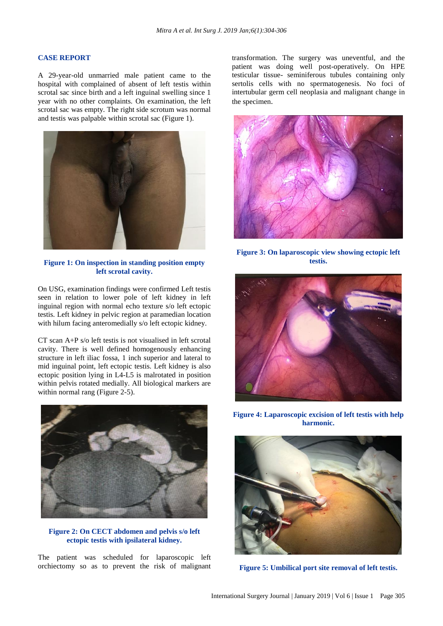#### **CASE REPORT**

A 29-year-old unmarried male patient came to the hospital with complained of absent of left testis within scrotal sac since birth and a left inguinal swelling since 1 year with no other complaints. On examination, the left scrotal sac was empty. The right side scrotum was normal and testis was palpable within scrotal sac (Figure 1).



**Figure 1: On inspection in standing position empty left scrotal cavity.**

On USG, examination findings were confirmed Left testis seen in relation to lower pole of left kidney in left inguinal region with normal echo texture s/o left ectopic testis. Left kidney in pelvic region at paramedian location with hilum facing anteromedially s/o left ectopic kidney.

CT scan A+P s/o left testis is not visualised in left scrotal cavity. There is well defined homogenously enhancing structure in left iliac fossa, 1 inch superior and lateral to mid inguinal point, left ectopic testis. Left kidney is also ectopic position lying in L4-L5 is malrotated in position within pelvis rotated medially. All biological markers are within normal rang (Figure 2-5).



**Figure 2: On CECT abdomen and pelvis s/o left ectopic testis with ipsilateral kidney.**

The patient was scheduled for laparoscopic left orchiectomy so as to prevent the risk of malignant transformation. The surgery was uneventful, and the patient was doing well post-operatively. On HPE testicular tissue- seminiferous tubules containing only sertolis cells with no spermatogenesis. No foci of intertubular germ cell neoplasia and malignant change in the specimen.



**Figure 3: On laparoscopic view showing ectopic left testis.**



**Figure 4: Laparoscopic excision of left testis with help harmonic.**



**Figure 5: Umbilical port site removal of left testis.**